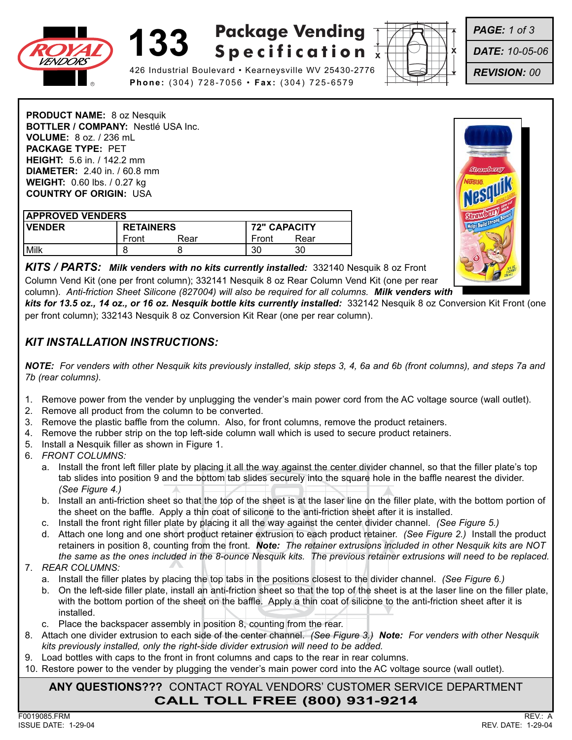

## **133 Package Vending Specification**



*PAGE: 1 of 3*

*DATE: 10-05-06*

*REVISION: 00*

426 Industrial Boulevard • Kearneysville WV 25430-2776 **Phone:** (304) 728-7056 • **Fax:** (304) 725-6579

**PRODUCT NAME:** 8 oz Nesquik **BOTTLER / COMPANY:** Nestlé USA Inc. **VOLUME:** 8 oz. / 236 mL **PACKAGE TYPE:** PET **HEIGHT:** 5.6 in. / 142.2 mm **DIAMETER:** 2.40 in. / 60.8 mm **WEIGHT:** 0.60 lbs. / 0.27 kg **COUNTRY OF ORIGIN:** USA

| <b>APPROVED VENDERS</b> |                  |      |                     |      |
|-------------------------|------------------|------|---------------------|------|
| <b>IVENDER</b>          | <b>RETAINERS</b> |      | <b>72" CAPACITY</b> |      |
|                         | Front            | Rear | Front               | Rear |
| Milk                    |                  |      | 30                  | 30   |



*KITS / PARTS: Milk venders with no kits currently installed:* 332140 Nesquik 8 oz Front Column Vend Kit (one per front column); 332141 Nesquik 8 oz Rear Column Vend Kit (one per rear column). *Anti-friction Sheet Silicone (827004) will also be required for all columns. Milk venders with* 

*kits for 13.5 oz., 14 oz., or 16 oz. Nesquik bottle kits currently installed:* 332142 Nesquik 8 oz Conversion Kit Front (one per front column); 332143 Nesquik 8 oz Conversion Kit Rear (one per rear column).

## *KIT INSTALLATION INSTRUCTIONS:*

*NOTE: For venders with other Nesquik kits previously installed, skip steps 3, 4, 6a and 6b (front columns), and steps 7a and 7b (rear columns).*

- 1. Remove power from the vender by unplugging the vender's main power cord from the AC voltage source (wall outlet).
- 2. Remove all product from the column to be converted.
- 3. Remove the plastic baffle from the column. Also, for front columns, remove the product retainers.
- 4. Remove the rubber strip on the top left-side column wall which is used to secure product retainers.
- 5. Install a Nesquik filler as shown in Figure 1.
- 6. *FRONT COLUMNS:*
	- a. Install the front left filler plate by placing it all the way against the center divider channel, so that the filler plate's top tab slides into position 9 and the bottom tab slides securely into the square hole in the baffle nearest the divider. *(See Figure 4.)*
	- b. Install an anti-friction sheet so that the top of the sheet is at the laser line on the filler plate, with the bottom portion of the sheet on the baffle. Apply a thin coat of silicone to the anti-friction sheet after it is installed.
	- c. Install the front right filler plate by placing it all the way against the center divider channel. *(See Figure 5.)*
	- nting from the front. **Note:** The retainer extrusions ince ided in the 8-ounce Nesquik kits. The previous retaine d. Attach one long and one short product retainer extrusion to each product retainer. *(See Figure 2.)* Install the product retainers in position 8, counting from the front. *Note: The retainer extrusions included in other Nesquik kits are NOT the same as the ones included in the 8-ounce Nesquik kits. The previous retainer extrusions will need to be replaced.*

#### 7. *REAR COLUMNS:*

- a. Install the filler plates by placing the top tabs in the positions closest to the divider channel. *(See Figure 6.)*
- b. On the left-side filler plate, install an anti-friction sheet so that the top of the sheet is at the laser line on the filler plate, with the bottom portion of the sheet on the baffle. Apply a thin coat of silicone to the anti-friction sheet after it is installed.
- c. Place the backspacer assembly in position 8, counting from the rear.
- 8. Attach one divider extrusion to each side of the center channel. *(See Figure 3.) Note: For venders with other Nesquik kits previously installed, only the right-side divider extrusion will need to be added.*
- 9. Load bottles with caps to the front in front columns and caps to the rear in rear columns.
- 10. Restore power to the vender by plugging the vender's main power cord into the AC voltage source (wall outlet).

### **ANY QUESTIONS???** CONTACT ROYAL VENDORS' CUSTOMER SERVICE DEPARTMENT **CALL TOLL FREE (800) 931-9214**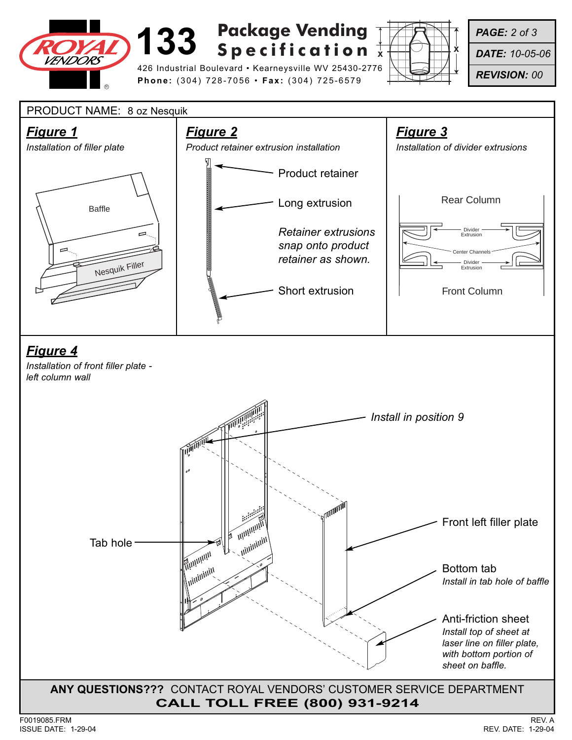

# **133 Specification**  $\frac{1}{x}$ **Package Vending**

426 Industrial Boulevard • Kearneysville WV 25430-2776 **Phone:** (304) 728-7056 • **Fax:** (304) 725-6579



*PAGE: 2 of 3*

*DATE: 10-05-06*

*REVISION: 00*